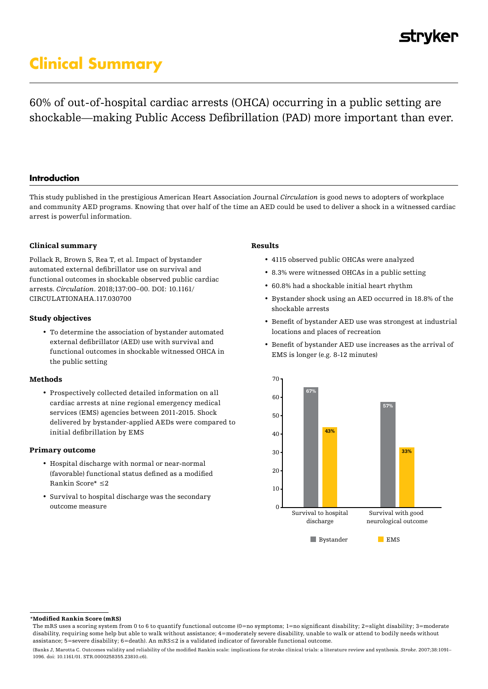## **strvker**

# **Clinical Summary**

60% of out-of-hospital cardiac arrests (OHCA) occurring in a public setting are shockable—making Public Access Defibrillation (PAD) more important than ever.

## **Introduction**

This study published in the prestigious American Heart Association Journal *Circulation* is good news to adopters of workplace and community AED programs. Knowing that over half of the time an AED could be used to deliver a shock in a witnessed cardiac arrest is powerful information.

## Clinical summary

Pollack R, Brown S, Rea T, et al. Impact of bystander automated external defibrillator use on survival and functional outcomes in shockable observed public cardiac arrests. *Circulation*. 2018;137:00–00. DOI: 10.1161/ CIRCULATIONAHA.117.030700

### Study objectives

• To determine the association of bystander automated external defibrillator (AED) use with survival and functional outcomes in shockable witnessed OHCA in the public setting

#### Methods

• Prospectively collected detailed information on all cardiac arrests at nine regional emergency medical services (EMS) agencies between 2011-2015. Shock delivered by bystander-applied AEDs were compared to initial defibrillation by EMS

#### Primary outcome

- Hospital discharge with normal or near-normal (favorable) functional status defined as a modified Rankin Score\* ≤2
- Survival to hospital discharge was the secondary outcome measure

## Results

- 4115 observed public OHCAs were analyzed
- 8.3% were witnessed OHCAs in a public setting
- 60.8% had a shockable initial heart rhythm
- Bystander shock using an AED occurred in 18.8% of the shockable arrests
- Benefit of bystander AED use was strongest at industrial locations and places of recreation
- Benefit of bystander AED use increases as the arrival of EMS is longer (e.g. 8-12 minutes)



#### \*Modified Rankin Score (mRS)

The mRS uses a scoring system from 0 to 6 to quantify functional outcome (0=no symptoms; 1=no significant disability; 2=slight disability; 3=moderate disability, requiring some help but able to walk without assistance; 4=moderately severe disability, unable to walk or attend to bodily needs without assistance; 5=severe disability; 6=death). An mRS≤2 is a validated indicator of favorable functional outcome.

<sup>(</sup>Banks J, Marotta C. Outcomes validity and reliability of the modified Rankin scale: implications for stroke clinical trials: a literature review and synthesis. *Stroke*. 2007;38:1091– 1096. doi: 10.1161/01. STR.0000258355.23810.c6).